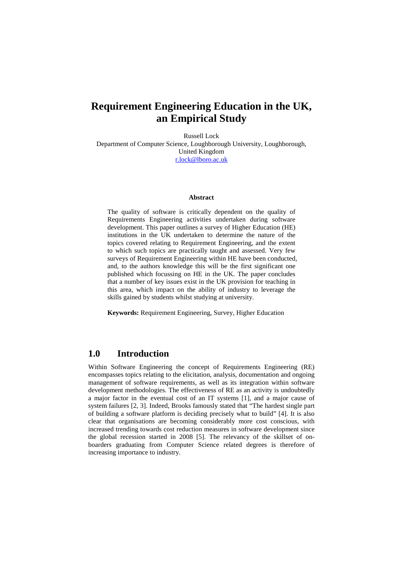# **Requirement Engineering Education in the UK, an Empirical Study**

Russell Lock Department of Computer Science, Loughborough University, Loughborough, United Kingdom [r.lock@lboro.ac.uk](mailto:r.lock@lboro.ac.uk)

#### **Abstract**

The quality of software is critically dependent on the quality of Requirements Engineering activities undertaken during software development. This paper outlines a survey of Higher Education (HE) institutions in the UK undertaken to determine the nature of the topics covered relating to Requirement Engineering, and the extent to which such topics are practically taught and assessed. Very few surveys of Requirement Engineering within HE have been conducted, and, to the authors knowledge this will be the first significant one published which focussing on HE in the UK. The paper concludes that a number of key issues exist in the UK provision for teaching in this area, which impact on the ability of industry to leverage the skills gained by students whilst studying at university.

**Keywords:** Requirement Engineering, Survey, Higher Education

## **1.0 Introduction**

Within Software Engineering the concept of Requirements Engineering (RE) encompasses topics relating to the elicitation, analysis, documentation and ongoing management of software requirements, as well as its integration within software development methodologies. The effectiveness of RE as an activity is undoubtedly a major factor in the eventual cost of an IT systems [1], and a major cause of system failures [2, 3]. Indeed, Brooks famously stated that "The hardest single part of building a software platform is deciding precisely what to build" [4]. It is also clear that organisations are becoming considerably more cost conscious, with increased trending towards cost reduction measures in software development since the global recession started in 2008 [5]. The relevancy of the skillset of onboarders graduating from Computer Science related degrees is therefore of increasing importance to industry.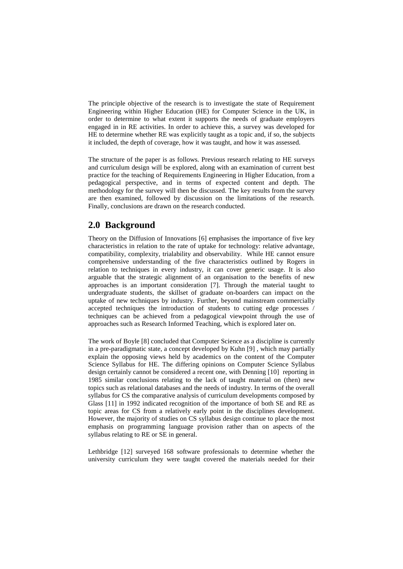The principle objective of the research is to investigate the state of Requirement Engineering within Higher Education (HE) for Computer Science in the UK, in order to determine to what extent it supports the needs of graduate employers engaged in in RE activities. In order to achieve this, a survey was developed for HE to determine whether RE was explicitly taught as a topic and, if so, the subjects it included, the depth of coverage, how it was taught, and how it was assessed.

The structure of the paper is as follows. Previous research relating to HE surveys and curriculum design will be explored, along with an examination of current best practice for the teaching of Requirements Engineering in Higher Education, from a pedagogical perspective, and in terms of expected content and depth. The methodology for the survey will then be discussed. The key results from the survey are then examined, followed by discussion on the limitations of the research. Finally, conclusions are drawn on the research conducted.

### **2.0 Background**

Theory on the Diffusion of Innovations [6] emphasises the importance of five key characteristics in relation to the rate of uptake for technology: relative advantage, compatibility, complexity, trialability and observability. While HE cannot ensure comprehensive understanding of the five characteristics outlined by Rogers in relation to techniques in every industry, it can cover generic usage. It is also arguable that the strategic alignment of an organisation to the benefits of new approaches is an important consideration [7]. Through the material taught to undergraduate students, the skillset of graduate on-boarders can impact on the uptake of new techniques by industry. Further, beyond mainstream commercially accepted techniques the introduction of students to cutting edge processes / techniques can be achieved from a pedagogical viewpoint through the use of approaches such as Research Informed Teaching, which is explored later on.

The work of Boyle [8] concluded that Computer Science as a discipline is currently in a pre-paradigmatic state, a concept developed by Kuhn [9] , which may partially explain the opposing views held by academics on the content of the Computer Science Syllabus for HE. The differing opinions on Computer Science Syllabus design certainly cannot be considered a recent one, with Denning [10] reporting in 1985 similar conclusions relating to the lack of taught material on (then) new topics such as relational databases and the needs of industry. In terms of the overall syllabus for CS the comparative analysis of curriculum developments composed by Glass [11] in 1992 indicated recognition of the importance of both SE and RE as topic areas for CS from a relatively early point in the disciplines development. However, the majority of studies on CS syllabus design continue to place the most emphasis on programming language provision rather than on aspects of the syllabus relating to RE or SE in general.

Lethbridge [12] surveyed 168 software professionals to determine whether the university curriculum they were taught covered the materials needed for their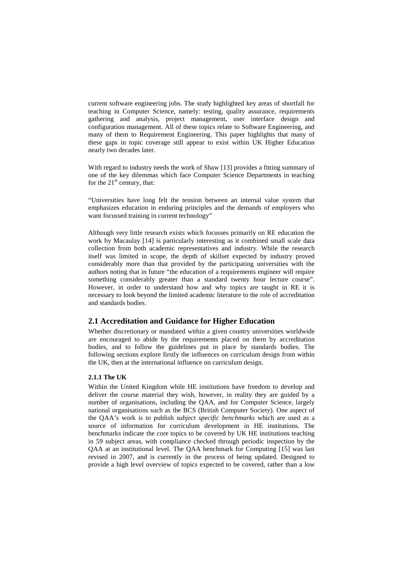current software engineering jobs. The study highlighted key areas of shortfall for teaching in Computer Science, namely: testing, quality assurance, requirements gathering and analysis, project management, user interface design and configuration management. All of these topics relate to Software Engineering, and many of them to Requirement Engineering. This paper highlights that many of these gaps in topic coverage still appear to exist within UK Higher Education nearly two decades later.

With regard to industry needs the work of Shaw [13] provides a fitting summary of one of the key dilemmas which face Computer Science Departments in teaching for the  $21<sup>st</sup>$  century, that:

"Universities have long felt the tension between an internal value system that emphasizes education in enduring principles and the demands of employers who want focussed training in current technology"

Although very little research exists which focusses primarily on RE education the work by Macaulay [14] is particularly interesting as it combined small scale data collection from both academic representatives and industry. While the research itself was limited in scope, the depth of skillset expected by industry proved considerably more than that provided by the participating universities with the authors noting that in future "the education of a requirements engineer will require something considerably greater than a standard twenty hour lecture course". However, in order to understand how and why topics are taught in RE it is necessary to look beyond the limited academic literature to the role of accreditation and standards bodies.

### **2.1 Accreditation and Guidance for Higher Education**

Whether discretionary or mandated within a given country universities worldwide are encouraged to abide by the requirements placed on them by accreditation bodies, and to follow the guidelines put in place by standards bodies. The following sections explore firstly the influences on curriculum design from within the UK, then at the international influence on curriculum design.

#### **2.1.1 The UK**

Within the United Kingdom while HE institutions have freedom to develop and deliver the course material they wish, however, in reality they are guided by a number of organisations, including the QAA, and for Computer Science, largely national organisations such as the BCS (British Computer Society). One aspect of the QAA's work is to publish *subject specific benchmarks* which are used as a source of information for curriculum development in HE institutions. The benchmarks indicate the core topics to be covered by UK HE institutions teaching in 59 subject areas, with compliance checked through periodic inspection by the QAA at an institutional level. The QAA benchmark for Computing [15] was last revised in 2007, and is currently in the process of being updated. Designed to provide a high level overview of topics expected to be covered, rather than a low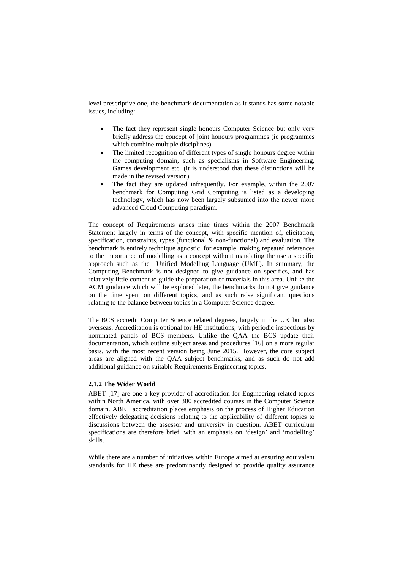level prescriptive one, the benchmark documentation as it stands has some notable issues, including:

- The fact they represent single honours Computer Science but only very briefly address the concept of joint honours programmes (ie programmes which combine multiple disciplines).
- The limited recognition of different types of single honours degree within the computing domain, such as specialisms in Software Engineering, Games development etc. (it is understood that these distinctions will be made in the revised version).
- The fact they are updated infrequently. For example, within the 2007 benchmark for Computing Grid Computing is listed as a developing technology, which has now been largely subsumed into the newer more advanced Cloud Computing paradigm.

The concept of Requirements arises nine times within the 2007 Benchmark Statement largely in terms of the concept, with specific mention of, elicitation, specification, constraints, types (functional  $\&$  non-functional) and evaluation. The benchmark is entirely technique agnostic, for example, making repeated references to the importance of modelling as a concept without mandating the use a specific approach such as the Unified Modelling Language (UML). In summary, the Computing Benchmark is not designed to give guidance on specifics, and has relatively little content to guide the preparation of materials in this area. Unlike the ACM guidance which will be explored later, the benchmarks do not give guidance on the time spent on different topics, and as such raise significant questions relating to the balance between topics in a Computer Science degree.

The BCS accredit Computer Science related degrees, largely in the UK but also overseas. Accreditation is optional for HE institutions, with periodic inspections by nominated panels of BCS members. Unlike the QAA the BCS update their documentation, which outline subject areas and procedures [16] on a more regular basis, with the most recent version being June 2015. However, the core subject areas are aligned with the QAA subject benchmarks, and as such do not add additional guidance on suitable Requirements Engineering topics.

#### **2.1.2 The Wider World**

ABET [17] are one a key provider of accreditation for Engineering related topics within North America, with over 300 accredited courses in the Computer Science domain. ABET accreditation places emphasis on the process of Higher Education effectively delegating decisions relating to the applicability of different topics to discussions between the assessor and university in question. ABET curriculum specifications are therefore brief, with an emphasis on 'design' and 'modelling' skills.

While there are a number of initiatives within Europe aimed at ensuring equivalent standards for HE these are predominantly designed to provide quality assurance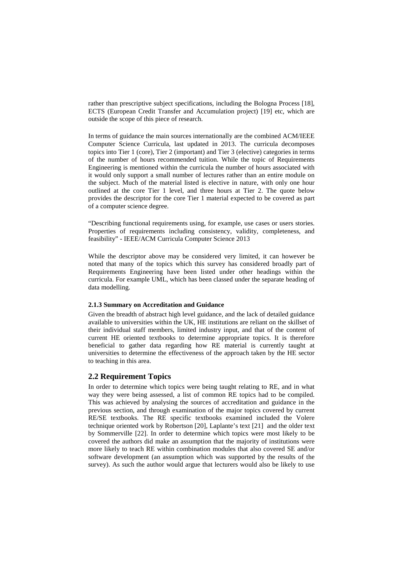rather than prescriptive subject specifications, including the Bologna Process [18], ECTS (European Credit Transfer and Accumulation project) [19] etc, which are outside the scope of this piece of research.

In terms of guidance the main sources internationally are the combined ACM/IEEE Computer Science Curricula, last updated in 2013. The curricula decomposes topics into Tier 1 (core), Tier 2 (important) and Tier 3 (elective) categories in terms of the number of hours recommended tuition. While the topic of Requirements Engineering is mentioned within the curricula the number of hours associated with it would only support a small number of lectures rather than an entire module on the subject. Much of the material listed is elective in nature, with only one hour outlined at the core Tier 1 level, and three hours at Tier 2. The quote below provides the descriptor for the core Tier 1 material expected to be covered as part of a computer science degree.

"Describing functional requirements using, for example, use cases or users stories. Properties of requirements including consistency, validity, completeness, and feasibility" - IEEE/ACM Curricula Computer Science 2013

While the descriptor above may be considered very limited, it can however be noted that many of the topics which this survey has considered broadly part of Requirements Engineering have been listed under other headings within the curricula. For example UML, which has been classed under the separate heading of data modelling.

#### **2.1.3 Summary on Accreditation and Guidance**

Given the breadth of abstract high level guidance, and the lack of detailed guidance available to universities within the UK, HE institutions are reliant on the skillset of their individual staff members, limited industry input, and that of the content of current HE oriented textbooks to determine appropriate topics. It is therefore beneficial to gather data regarding how RE material is currently taught at universities to determine the effectiveness of the approach taken by the HE sector to teaching in this area.

### **2.2 Requirement Topics**

In order to determine which topics were being taught relating to RE, and in what way they were being assessed, a list of common RE topics had to be compiled. This was achieved by analysing the sources of accreditation and guidance in the previous section, and through examination of the major topics covered by current RE/SE textbooks. The RE specific textbooks examined included the Volere technique oriented work by Robertson [20], Laplante's text [21] and the older text by Sommerville [22]. In order to determine which topics were most likely to be covered the authors did make an assumption that the majority of institutions were more likely to teach RE within combination modules that also covered SE and/or software development (an assumption which was supported by the results of the survey). As such the author would argue that lecturers would also be likely to use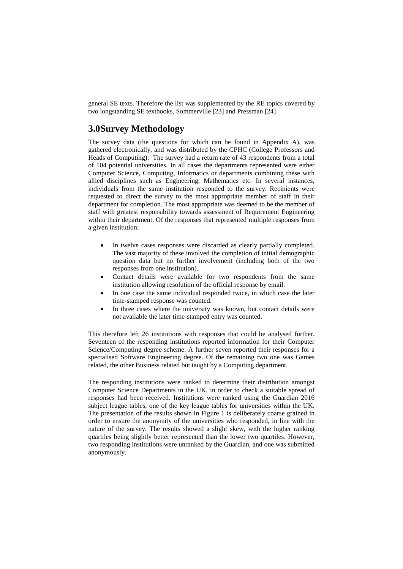general SE texts. Therefore the list was supplemented by the RE topics covered by two longstanding SE textbooks, Sommerville [23] and Pressman [24].

## **3.0Survey Methodology**

The survey data (the questions for which can be found in Appendix A), was gathered electronically, and was distributed by the CPHC (College Professors and Heads of Computing). The survey had a return rate of 43 respondents from a total of 104 potential universities. In all cases the departments represented were either Computer Science, Computing, Informatics or departments combining these with allied disciplines such as Engineering, Mathematics etc. In several instances, individuals from the same institution responded to the survey. Recipients were requested to direct the survey to the most appropriate member of staff in their department for completion. The most appropriate was deemed to be the member of staff with greatest responsibility towards assessment of Requirement Engineering within their department. Of the responses that represented multiple responses from a given institution:

- In twelve cases responses were discarded as clearly partially completed. The vast majority of these involved the completion of initial demographic question data but no further involvement (including both of the two responses from one institution).
- Contact details were available for two respondents from the same institution allowing resolution of the official response by email.
- In one case the same individual responded twice, in which case the later time-stamped response was counted.
- In three cases where the university was known, but contact details were not available the later time-stamped entry was counted.

This therefore left 26 institutions with responses that could be analysed further. Seventeen of the responding institutions reported information for their Computer Science/Computing degree scheme. A further seven reported their responses for a specialised Software Engineering degree. Of the remaining two one was Games related, the other Business related but taught by a Computing department.

The responding institutions were ranked to determine their distribution amongst Computer Science Departments in the UK, in order to check a suitable spread of responses had been received. Institutions were ranked using the Guardian 2016 subject league tables, one of the key league tables for universities within the UK. The presentation of the results shown in Figure 1 is deliberately coarse grained in order to ensure the anonymity of the universities who responded, in line with the nature of the survey. The results showed a slight skew, with the higher ranking quartiles being slightly better represented than the lower two quartiles. However, two responding institutions were unranked by the Guardian, and one was submitted anonymously.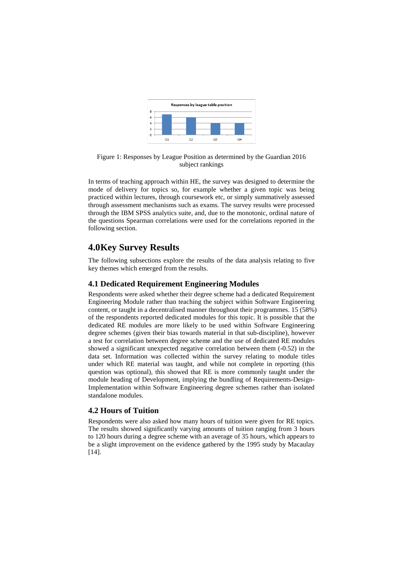

Figure 1: Responses by League Position as determined by the Guardian 2016 subject rankings

In terms of teaching approach within HE, the survey was designed to determine the mode of delivery for topics so, for example whether a given topic was being practiced within lectures, through coursework etc, or simply summatively assessed through assessment mechanisms such as exams. The survey results were processed through the IBM SPSS analytics suite, and, due to the monotonic, ordinal nature of the questions Spearman correlations were used for the correlations reported in the following section.

# **4.0Key Survey Results**

The following subsections explore the results of the data analysis relating to five key themes which emerged from the results.

### **4.1 Dedicated Requirement Engineering Modules**

Respondents were asked whether their degree scheme had a dedicated Requirement Engineering Module rather than teaching the subject within Software Engineering content, or taught in a decentralised manner throughout their programmes. 15 (58%) of the respondents reported dedicated modules for this topic. It is possible that the dedicated RE modules are more likely to be used within Software Engineering degree schemes (given their bias towards material in that sub-discipline), however a test for correlation between degree scheme and the use of dedicated RE modules showed a significant unexpected negative correlation between them (-0.52) in the data set. Information was collected within the survey relating to module titles under which RE material was taught, and while not complete in reporting (this question was optional), this showed that RE is more commonly taught under the module heading of Development, implying the bundling of Requirements-Design-Implementation within Software Engineering degree schemes rather than isolated standalone modules.

#### **4.2 Hours of Tuition**

Respondents were also asked how many hours of tuition were given for RE topics. The results showed significantly varying amounts of tuition ranging from 3 hours to 120 hours during a degree scheme with an average of 35 hours, which appears to be a slight improvement on the evidence gathered by the 1995 study by Macaulay [14].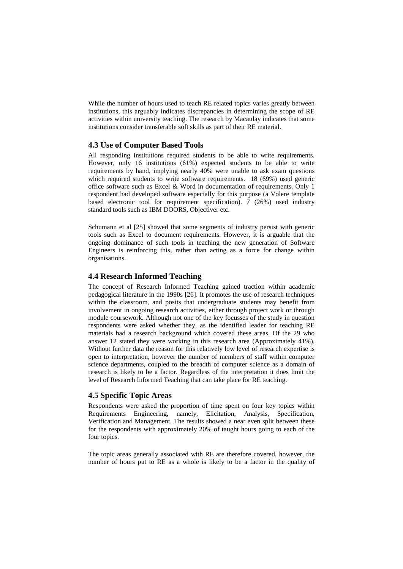While the number of hours used to teach RE related topics varies greatly between institutions, this arguably indicates discrepancies in determining the scope of RE activities within university teaching. The research by Macaulay indicates that some institutions consider transferable soft skills as part of their RE material.

### **4.3 Use of Computer Based Tools**

All responding institutions required students to be able to write requirements. However, only 16 institutions (61%) expected students to be able to write requirements by hand, implying nearly 40% were unable to ask exam questions which required students to write software requirements. 18 (69%) used generic office software such as Excel & Word in documentation of requirements. Only 1 respondent had developed software especially for this purpose (a Volere template based electronic tool for requirement specification). 7 (26%) used industry standard tools such as IBM DOORS, Objectiver etc.

Schumann et al [25] showed that some segments of industry persist with generic tools such as Excel to document requirements. However, it is arguable that the ongoing dominance of such tools in teaching the new generation of Software Engineers is reinforcing this, rather than acting as a force for change within organisations.

#### **4.4 Research Informed Teaching**

The concept of Research Informed Teaching gained traction within academic pedagogical literature in the 1990s [26]. It promotes the use of research techniques within the classroom, and posits that undergraduate students may benefit from involvement in ongoing research activities, either through project work or through module coursework. Although not one of the key focusses of the study in question respondents were asked whether they, as the identified leader for teaching RE materials had a research background which covered these areas. Of the 29 who answer 12 stated they were working in this research area (Approximately 41%). Without further data the reason for this relatively low level of research expertise is open to interpretation, however the number of members of staff within computer science departments, coupled to the breadth of computer science as a domain of research is likely to be a factor. Regardless of the interpretation it does limit the level of Research Informed Teaching that can take place for RE teaching.

#### **4.5 Specific Topic Areas**

Respondents were asked the proportion of time spent on four key topics within Requirements Engineering, namely, Elicitation, Analysis, Specification, Verification and Management. The results showed a near even split between these for the respondents with approximately 20% of taught hours going to each of the four topics.

The topic areas generally associated with RE are therefore covered, however, the number of hours put to RE as a whole is likely to be a factor in the quality of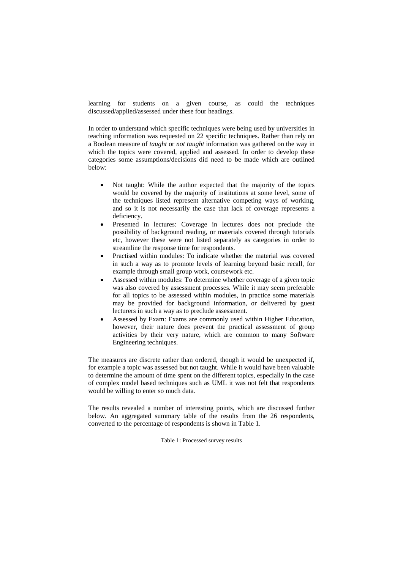learning for students on a given course, as could the techniques discussed/applied/assessed under these four headings.

In order to understand which specific techniques were being used by universities in teaching information was requested on 22 specific techniques. Rather than rely on a Boolean measure of *taught* or *not taught* information was gathered on the way in which the topics were covered, applied and assessed. In order to develop these categories some assumptions/decisions did need to be made which are outlined below:

- Not taught: While the author expected that the majority of the topics would be covered by the majority of institutions at some level, some of the techniques listed represent alternative competing ways of working, and so it is not necessarily the case that lack of coverage represents a deficiency.
- Presented in lectures: Coverage in lectures does not preclude the possibility of background reading, or materials covered through tutorials etc, however these were not listed separately as categories in order to streamline the response time for respondents.
- Practised within modules: To indicate whether the material was covered in such a way as to promote levels of learning beyond basic recall, for example through small group work, coursework etc.
- Assessed within modules: To determine whether coverage of a given topic was also covered by assessment processes. While it may seem preferable for all topics to be assessed within modules, in practice some materials may be provided for background information, or delivered by guest lecturers in such a way as to preclude assessment.
- Assessed by Exam: Exams are commonly used within Higher Education, however, their nature does prevent the practical assessment of group activities by their very nature, which are common to many Software Engineering techniques.

The measures are discrete rather than ordered, though it would be unexpected if, for example a topic was assessed but not taught. While it would have been valuable to determine the amount of time spent on the different topics, especially in the case of complex model based techniques such as UML it was not felt that respondents would be willing to enter so much data.

The results revealed a number of interesting points, which are discussed further below. An aggregated summary table of the results from the 26 respondents, converted to the percentage of respondents is shown in Table 1.

Table 1: Processed survey results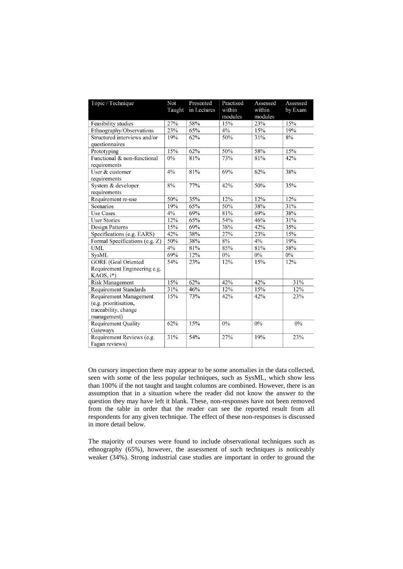| Topic / Technique              | Not<br>Taught | Presented<br>in Lectures | Practised<br>within<br>modules | Assessed<br>within<br>modules | Assessed<br>by Exam |
|--------------------------------|---------------|--------------------------|--------------------------------|-------------------------------|---------------------|
| Feasibility studies            | 27%           | 58%                      | 15%                            | 23%                           | 15%                 |
| Ethnography/Observations       | 23%           | 65%                      | $4\%$                          | 15%                           | 19%                 |
| Structured interviews and/or   | 19%           | 62%                      | 50%                            | 31%                           | $8\%$               |
| questionnaires                 |               |                          |                                |                               |                     |
| Prototyping                    | 15%           | 62%                      | 50%                            | 58%                           | 15%                 |
| Functional & non-functional    | $0\%$         | 81%                      | 73%                            | 81%                           | 42%                 |
| requirements                   |               |                          |                                |                               |                     |
| User & customer                | 4%            | 81%                      | 69%                            | 62%                           | 38%                 |
| requirements                   |               |                          |                                |                               |                     |
| System & developer             | 8%            | 77%                      | 42%                            | 50%                           | 35%                 |
| requirements                   |               |                          |                                |                               |                     |
| Requirement re-use             | 50%           | 35%                      | 12%                            | 12%                           | 12%                 |
| Scenarios                      | 19%           | 65%                      | 50%                            | 38%                           | 31%                 |
| <b>Use Cases</b>               | 4%            | 69%                      | 81%                            | 69%                           | 38%                 |
| <b>User Stories</b>            | 12%           | 65%                      | 54%                            | 46%                           | 31%                 |
| Design Patterns                | 15%           | 69%                      | 38%                            | 42%                           | 35%                 |
| Specifications (e.g. EARS)     | 42%           | 38%                      | 27%                            | 23%                           | 15%                 |
| Formal Specifications (e.g. Z) | 50%           | 38%                      | 8%                             | 4%                            | 19%                 |
| <b>UML</b>                     | 4%            | 81%                      | 85%                            | 81%                           | 58%                 |
| <b>SysML</b>                   | 69%           | 12%                      | 0%                             | $0\%$                         | $0\%$               |
| <b>GORE</b> (Goal Oriented     | 54%           | 23%                      | 12%                            | 15%                           | 12%                 |
| Requirement Engineering e.g.   |               |                          |                                |                               |                     |
| KAOS, i*)                      |               |                          |                                |                               |                     |
| <b>Risk Management</b>         | 15%           | 62%                      | 42%                            | 42%                           | 31%                 |
| <b>Requirement Standards</b>   | 31%           | 46%                      | 12%                            | 15%                           | 12%                 |
| <b>Requirement Management</b>  | 15%           | 73%                      | 42%                            | 42%                           | 23%                 |
| (e.g. prioritisation,          |               |                          |                                |                               |                     |
| traceability, change           |               |                          |                                |                               |                     |
| management)                    |               |                          |                                |                               |                     |
| <b>Requirement Quality</b>     | 62%           | 15%                      | $0\%$                          | $0\%$                         | $0\%$               |
| Gateways                       |               |                          |                                |                               |                     |
| Requirement Reviews (e.g.      | 31%           | 54%                      | 27%                            | 19%                           | 23%                 |
| Fagan reviews)                 |               |                          |                                |                               |                     |

On cursory inspection there may appear to be some anomalies in the data collected, seen with some of the less popular techniques, such as SysML, which show less than 100% if the not taught and taught columns are combined. However, there is an assumption that in a situation where the reader did not know the answer to the question they may have left it blank. These, non-responses have not been removed from the table in order that the reader can see the reported result from all respondents for any given technique. The effect of these non-responses is discussed in more detail below.

The majority of courses were found to include observational techniques such as ethnography (65%), however, the assessment of such techniques is noticeably weaker (34%). Strong industrial case studies are important in order to ground the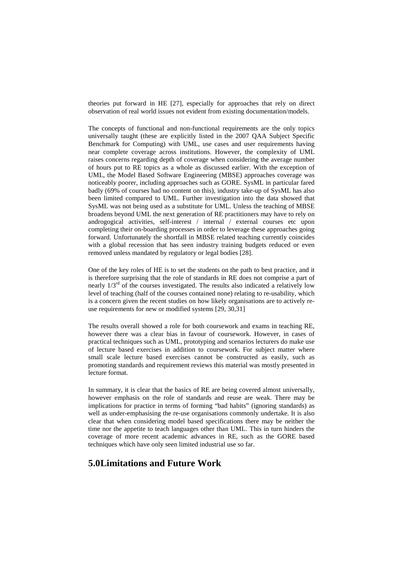theories put forward in HE [27], especially for approaches that rely on direct observation of real world issues not evident from existing documentation/models.

The concepts of functional and non-functional requirements are the only topics universally taught (these are explicitly listed in the 2007 QAA Subject Specific Benchmark for Computing) with UML, use cases and user requirements having near complete coverage across institutions. However, the complexity of UML raises concerns regarding depth of coverage when considering the average number of hours put to RE topics as a whole as discussed earlier. With the exception of UML, the Model Based Software Engineering (MBSE) approaches coverage was noticeably poorer, including approaches such as GORE. SysML in particular fared badly (69% of courses had no content on this), industry take-up of SysML has also been limited compared to UML. Further investigation into the data showed that SysML was not being used as a substitute for UML. Unless the teaching of MBSE broadens beyond UML the next generation of RE practitioners may have to rely on androgogical activities, self-interest / internal / external courses etc upon completing their on-boarding processes in order to leverage these approaches going forward. Unfortunately the shortfall in MBSE related teaching currently coincides with a global recession that has seen industry training budgets reduced or even removed unless mandated by regulatory or legal bodies [28].

One of the key roles of HE is to set the students on the path to best practice, and it is therefore surprising that the role of standards in RE does not comprise a part of nearly  $1/3^{rd}$  of the courses investigated. The results also indicated a relatively low level of teaching (half of the courses contained none) relating to re-usability, which is a concern given the recent studies on how likely organisations are to actively reuse requirements for new or modified systems [29, 30,31]

The results overall showed a role for both coursework and exams in teaching RE, however there was a clear bias in favour of coursework. However, in cases of practical techniques such as UML, prototyping and scenarios lecturers do make use of lecture based exercises in addition to coursework. For subject matter where small scale lecture based exercises cannot be constructed as easily, such as promoting standards and requirement reviews this material was mostly presented in lecture format.

In summary, it is clear that the basics of RE are being covered almost universally, however emphasis on the role of standards and reuse are weak. There may be implications for practice in terms of forming "bad habits" (ignoring standards) as well as under-emphasising the re-use organisations commonly undertake. It is also clear that when considering model based specifications there may be neither the time nor the appetite to teach languages other than UML. This in turn hinders the coverage of more recent academic advances in RE, such as the GORE based techniques which have only seen limited industrial use so far.

# **5.0Limitations and Future Work**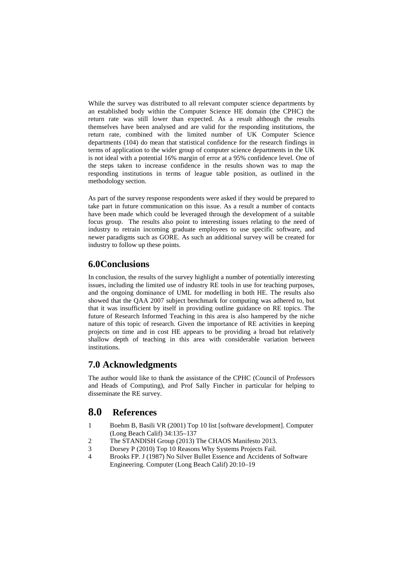While the survey was distributed to all relevant computer science departments by an established body within the Computer Science HE domain (the CPHC) the return rate was still lower than expected. As a result although the results themselves have been analysed and are valid for the responding institutions, the return rate, combined with the limited number of UK Computer Science departments (104) do mean that statistical confidence for the research findings in terms of application to the wider group of computer science departments in the UK is not ideal with a potential 16% margin of error at a 95% confidence level. One of the steps taken to increase confidence in the results shown was to map the responding institutions in terms of league table position, as outlined in the methodology section.

As part of the survey response respondents were asked if they would be prepared to take part in future communication on this issue. As a result a number of contacts have been made which could be leveraged through the development of a suitable focus group. The results also point to interesting issues relating to the need of industry to retrain incoming graduate employees to use specific software, and newer paradigms such as GORE. As such an additional survey will be created for industry to follow up these points.

# **6.0Conclusions**

In conclusion, the results of the survey highlight a number of potentially interesting issues, including the limited use of industry RE tools in use for teaching purposes, and the ongoing dominance of UML for modelling in both HE. The results also showed that the QAA 2007 subject benchmark for computing was adhered to, but that it was insufficient by itself in providing outline guidance on RE topics. The future of Research Informed Teaching in this area is also hampered by the niche nature of this topic of research. Given the importance of RE activities in keeping projects on time and in cost HE appears to be providing a broad but relatively shallow depth of teaching in this area with considerable variation between institutions.

# **7.0 Acknowledgments**

The author would like to thank the assistance of the CPHC (Council of Professors and Heads of Computing), and Prof Sally Fincher in particular for helping to disseminate the RE survey.

# **8.0 References**

- 1 Boehm B, Basili VR (2001) Top 10 list [software development]. Computer (Long Beach Calif) 34:135–137
- 2 The STANDISH Group (2013) The CHAOS Manifesto 2013.
- 3 Dorsey P (2010) Top 10 Reasons Why Systems Projects Fail.
- 4 Brooks FP. J (1987) No Silver Bullet Essence and Accidents of Software Engineering. Computer (Long Beach Calif) 20:10–19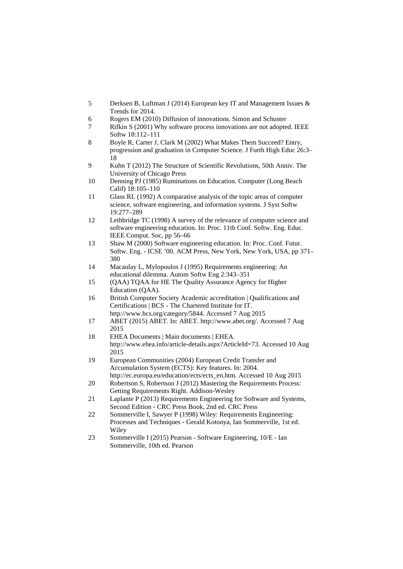- 5 Derksen B, Luftman J (2014) European key IT and Management Issues & Trends for 2014.
- 6 Rogers EM (2010) Diffusion of innovations. Simon and Schuster
- 7 Rifkin S (2001) Why software process innovations are not adopted. IEEE Softw 18:112–111
- 8 Boyle R, Carter J, Clark M (2002) What Makes Them Succeed? Entry, progression and graduation in Computer Science. J Furth High Educ 26:3– 18
- 9 Kuhn T (2012) The Structure of Scientific Revolutions, 50th Anniv. The University of Chicago Press
- 10 Denning PJ (1985) Ruminations on Education. Computer (Long Beach Calif) 18:105–110
- 11 Glass RL (1992) A comparative analysis of the topic areas of computer science, software engineering, and information systems. J Syst Softw 19:277–289
- 12 Lethbridge TC (1998) A survey of the relevance of computer science and software engineering education. In: Proc. 11th Conf. Softw. Eng. Educ. IEEE Comput. Soc, pp 56–66
- 13 Shaw M (2000) Software engineering education. In: Proc. Conf. Futur. Softw. Eng. - ICSE '00. ACM Press, New York, New York, USA, pp 371– 380
- 14 Macaulay L, Mylopoulos J (1995) Requirements engineering: An educational dilemma. Autom Softw Eng 2:343–351
- 15 (QAA) TQAA for HE The Quality Assurance Agency for Higher Education (QAA).
- 16 British Computer Society Academic accreditation | Qualifications and Certifications | BCS - The Chartered Institute for IT. http://www.bcs.org/category/5844. Accessed 7 Aug 2015
- 17 ABET (2015) ABET. In: ABET. http://www.abet.org/. Accessed 7 Aug 2015
- 18 EHEA Documents | Main documents | EHEA. http://www.ehea.info/article-details.aspx?ArticleId=73. Accessed 10 Aug 2015
- 19 European Communities (2004) European Credit Transfer and Accumulation System (ECTS): Key features. In: 2004. http://ec.europa.eu/education/ects/ects\_en.htm. Accessed 10 Aug 2015
- 20 Robertson S, Robertson J (2012) Mastering the Requirements Process: Getting Requirements Right. Addison-Wesley
- 21 Laplante P (2013) Requirements Engineering for Software and Systems, Second Edition - CRC Press Book, 2nd ed. CRC Press
- 22 Sommerville I, Sawyer P (1998) Wiley: Requirements Engineering: Processes and Techniques - Gerald Kotonya, Ian Sommerville, 1st ed. **Wiley**
- 23 Sommerville I (2015) Pearson Software Engineering, 10/E Ian Sommerville, 10th ed. Pearson